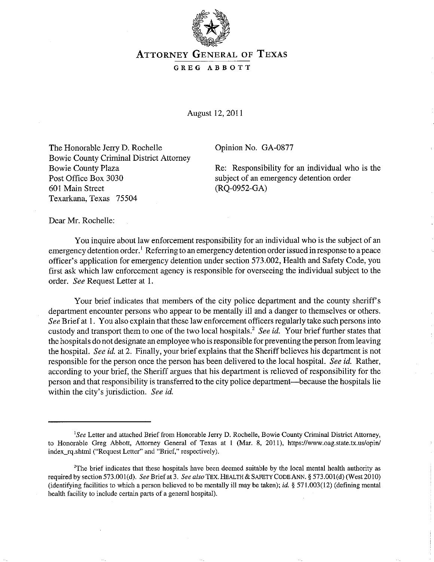

## **ATTORNEY GENERAL OF TEXAS**

## GREG ABBOTT

August 12, 2011

The Honorable Jerry D. Rochelle Bowie County Criminal District Attorney Bowie County Plaza Post Office Box 3030 601 Main Street Texarkana, Texas 75504

Opinion No. GA-0877

Re: Responsibility for an individual who is the subject of an emergency detention order (RQ-0952-GA)

Dear Mr. Rochelle:

You inquire about law enforcement responsibility for an individual who is the subject of an emergency detention order.<sup>1</sup> Referring to an emergency detention order issued in response to a peace officer's application for emergency detention under section 573.002, Health and Safety Code, you first ask which law enforcement agency is responsible for overseeing the individual subject to the order. *See* Request Letter at 1.

Your brief indicates that members of the city police department and the county sheriff's department encounter persons who appear to be mentally ill and a danger to themselves or others. *See* Brief at 1. You also explain that these law enforcement officers regularly take such persons into custody and transport them to one of the two local hospitals.' *See id.* Your brief further states that the hospitals do not designate an employee who is responsible for preventing the person from leaving the hospital. *See id.* at 2. Finally, your brief explains that the Sheriff believes his department is not responsible for the person once the person has been delivered to the local hospital. *See id.* Rather, according to your brief, the Sheriff argues that his department is relieved of responsibility for the person and that responsibility is transferred to the city police department-because the hospitals lie within the city's jurisdiction. *See id.* 

*ISee* Letter and attached Brief from Honorable Jerry D. Rochelle, Bowie County Criminal District Attorney, to Honorable Greg Abbott, Attorney General of Texas at 1 (Mar. 8, 2011), https://www.oag.state.tx.us/opin/ index rq.shtml ("Request Letter" and "Brief," respectively).

<sup>&</sup>lt;sup>2</sup>The brief indicates that these hospitals have been deemed suitable by the local mental health authority as required by section 573.00l(d). *See* Brief at 3. *See also* TEx. HEALTH & SAFETY CODE ANN. § 573.001(d) (West 2010) (identifying facilities to which a person believed to be mentally ill may be taken); *id.* § 571.003(12) (defining mental health facility to include certain parts of a general hospital).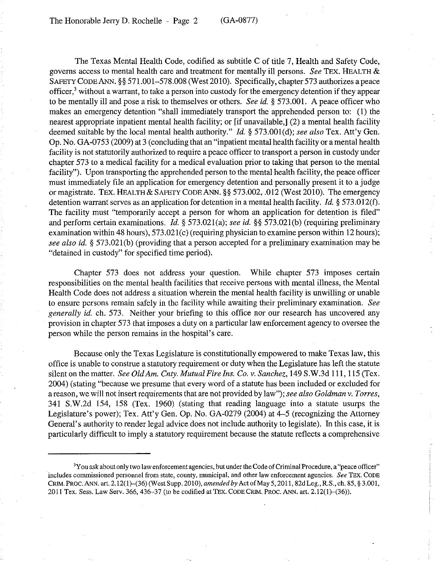The Texas Mental Health Code, codified as subtitle C of title 7, Health and Safety Code, governs access to mental health care and treatment for mentally ill persons. *See* TEX. HEALTH & SAFETY CODE ANN. §§ 571.001-578.008 (West 2010). Specifically, chapter 573 authorizes a peace officer,3 without a warrant, to take a person into custody for the emergency detention if they appear to be mentally ill and pose a risk to themselves or others. *See id.* § 573.001. A peace officer who makes an emergency detention "shall immediately transport the apprehended person to: (1) the nearest appropriate inpatient mental health facility; or [if unavailable,] (2) a mental health facility deemed suitable by the local mental health authority." *Id.* § 573.001(d); *see also* Tex. Att'y Gen. Op. No. GA-0753 (2009) at 3 (concluding that an "inpatient mental health facility or a mental health facility is not statutorily authorized to require a peace officer to transport a person in custody under chapter 573 to a medical facility for a medical evaluation prior to taking that person to the mental facility"). Upon transporting the apprehended person to the mental health facility, the peace officer must immediately file an application for emergency detention and personally present it to a judge or magistrate. TEX. HEALTH  $&$  SAFETY CODE ANN. §§ 573.002, .012 (West 2010). The emergency detention warrant serves as an application for detention in a mental health facility. *Id.* § 573.012(f). The facility must "temporarily accept a person for whom an application for detention is filed" and perform certain examinations. *Id.* § 573.021(a); *see id.* §§ 573.021(b) (requiring preliminary examination within 48 hours), 573.021(c) (requiring physician to examine person within 12 hours); *see also id.* § 573.021(b) (providing that a person accepted for a preliminary examinatjon may be "detained in custody" for specified time period).

Chapter 573 does not address your question. While chapter 573 imposes certain responsibilities on the mental health facilities that receive persons with mental illness, the Mental Health Code does not address a situation wherein the mental health facility is unwilling or unable to ensure persons remain safely in the facility while awaiting their preliminary examination. *See generally id.* ch. 573. Neither your briefing to this office nor our research has uncovered any provision in chapter 573 that imposes a duty on a particular law enforcement agency to oversee the person while the person remains in the hospital's care.

Because only the Texas Legislature is constitutionally empowered to make Texas law, this office is unable to construe a statutory requirement or duty when the Legislature has left the statute silent on the matter. *See OldAm. Cnty. Mutual Fire Ins. Co.* v. *Sanchez,* 149 S.W.3d 111, 115 (Tex. 2004) (stating "because we presume that every word of a statute has been included or excluded for a reason, we will not insert requirements that are not provided by law"); *see also Goldman* v. *Torres,*  341 S.W.2d 154, 158 (Tex. 1960) (stating that reading language into a statute usurps the Legislature's power); Tex. Att'y Gen. Op. No. GA-0279 (2004) at 4-5 (recognizing the Attorney General's authority to render legal advice does not include authority to legislate). In this case, it is particularly difficult to imply a statutory requirement because the statute reflects a comprehensive

**<sup>3</sup>y ou ask about only two law enforcement agencies, but under the Code of Criminal Procedure, a "peace officer" includes commissioned personnel from state, county, municipal, and other law enforcement agencies.** *See* **TEx. CODE**  CRIM. PROC. ANN. art. 2.12(1)-(36) (WestSupp. 2010), *amended by* Act of May 5, 2011, 82dLeg., R.S., ch. 85, § 3.001, 2011 Tex. Sess. Law Serv. 366, 436-37 (to be codified at TEX. CODE CRIM. PROC. ANN. art. 2.12(1)-(36)).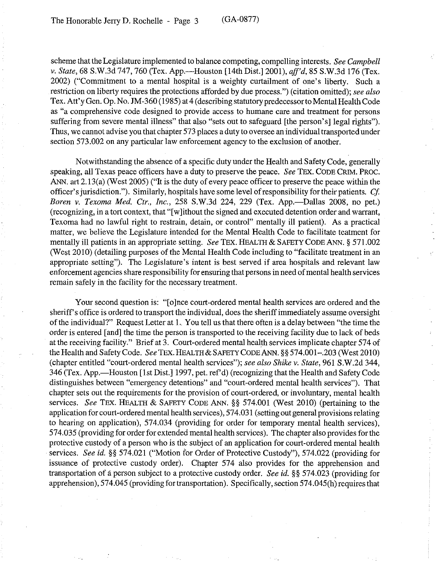scheme that the Legislature implemented to balance competing, compelling interests. *See Campbell v. State,* 68 S.w.3d 747,760 (Tex. App.-Houston [14th Dist.] 2001), *aff'd,* 85 S.W.3d 176 (Tex. 2002) ("Commitment to a mental hospital is a weighty curtailment of one's liberty. Such a restriction on liberty requires the protections afforded by due process.") (citation omitted); *see also*  Tex. Att'y Gen. Op. No. JM-360 (1985) at 4 (describing statutory predecessor to Mental Health Code as "a comprehensive code designed to provide access to humane care and treatment for persons suffering from severe mental illness" that also "sets out to safeguard [the person's] legal rights"). Thus, we cannot advise you that chapter 573 places a duty to oversee an individual transported under section 573.002 on any particular law enforcement agency to the exclusion of another.

Notwithstanding the absence of a specific duty under the Health and Safety Code, generally speaking, all Texas peace officers have a duty to preserve the peace. *See* TEX. CODE CRIM. PROC. ANN. art 2. 13(a) (West 2005) ("It is the duty of every peace officer to preserve the peace within the officer's jurisdiction."). Similarly, hospitals have some level of responsibility for their patients. *Cf Boren v. Texoma Med. Ctr., Inc., 258 S.W.3d 224, 229 (Tex. App.*—Dallas 2008, no pet.) (recognizing, in a tort context, that "[ w ]ithout the signed and executed detention order and warrant, Texoma had no lawful right to restrain, detain, or control" mentally ill patient). As a practical matter, we believe the Legislature intended for the Mental Health Code to facilitate teatment for mentally ill patients in an appropriate setting. *See* TEX. HEALTH & SAFETY CODE ANN. § 571.002 (West 2010) (detailing purposes of the Mental Health Code including to "facilitate treatment in an appropriate setting"). The Legislature's intent is best served if area hospitals and relevant law enforcement agencies share responsibility for ensuring that persons in need of mental health services remain safely in the facility for the necessary treatment.

Your second question is: "[o]nce court-ordered mental health services are ordered and the sheriff's office is ordered to transport the individual, does the sheriff immediately assume oversight of the individual?" Request Letter at 1 .. You tell us that there often is a delay between "the time the order is entered [and] the time the person is transported to the receiving facility due to lack of beds at the receiving facility." Brief at 3. Court-ordered mental health services implicate chapter 574 of the Health and Safety Code. *See* TEX. HEALTH & SAFETY CODE ANN. §§ 574.001-.203 (West 2010) (chapter entitled "court-ordered mental health services"); *see also Shike v. State,* 961 S.W.2d 344, 346 (Tex. App.—Houston [1st Dist.] 1997, pet. ref'd) (recognizing that the Health and Safety Code distinguishes between "emergency detentions" and "court-ordered mental health services"). That chapter sets out the requirements for the provision of court-ordered, or involuntary, mental health services. *See* TEX. HEALTH & SAFETY CODE ANN. §§ 574.001 (West 2010) (pertaining to the application for court-ordered mental health services), 574.031 (setting out general provisions relating to hearing on application), 574.034 (providing for order for temporary mental health services), 574.035 (providing for order for extended mental health services). The chapter also provides for the protective custody of a person who is the subject of an application for court-ordered mental health . services. *See* id. §§ 574.021 ("Motion for Order of Protective Custody"), 574.022 (providing for issuance of protective custody order). Chapter 574 also provides for the apprehension and transportation of a person subject to a protective custody order. *See id.* §§ 574.023 (providing for apprehension), 574.045 (providing for transportation). Specifically, section 574.045(h) requires that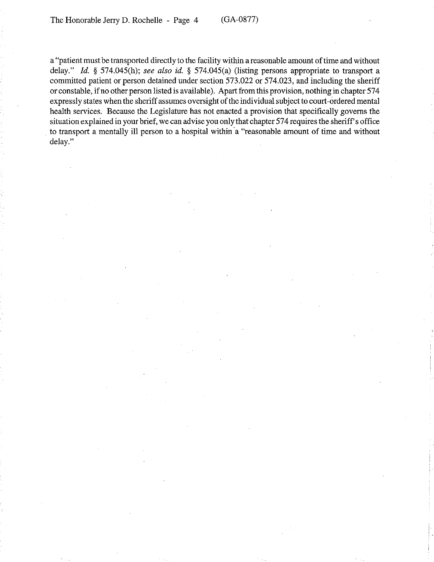a "patient must be transported directly to the facility within a reasonable amount of time and without delay." *[d.* § 574.045(h); *see also id.* § 574.045(a) (listing persons appropriate to transport a committed patient or person detained under section 573.022 or 574.023, and including the sheriff or constable, if no other person listed is available). Apart from this provision, nothing in chapter 574 expressly states when the sheriff assumes oversight of the individual subject to court -ordered mental health services. Because the Legislature has not enacted a provision that specifically governs the situation explained in your brief, we can advise you only that chapter 574 requires the sheriff's office to transport a mentally ill person to a hospital within 'a "reasonable amount of time and without delay."